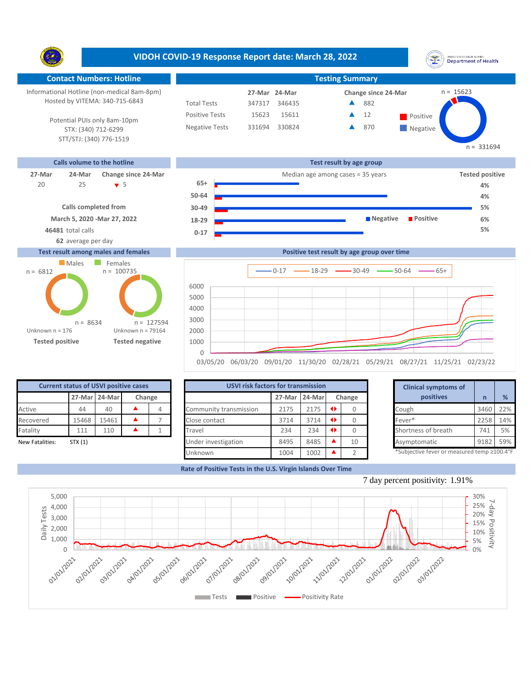**VIDOH COVID-19 Response Report date: March 28, 2022** UNITED STATES VIRGIN SLANDS<br>Department of Health Y. **Contact Numbers: Hotline Testing Summary** Informational Hotline (non-medical 8am-8pm)  $n = 15623$ **27-Mar Change since 24-Mar 24-Mar** Hosted by VITEMA: 340-715-6843 Total Tests 347317 346435 882 ▲ Positive Tests 15611  $\triangle$  12 Positive  $\blacktriangle$ 15623 12 Potential PUIs only 8am-10pm Negative Tests 331694 330824 870 ▲ **Negative** STX: (340) 712-6299 STT/STJ: (340) 776-1519  $n = 331694$ **Calls volume to the hotline Test result by age group 27-Mar 24-Mar Change since 24-Mar** Median age among cases = 35 years **Tested positive 65+** 25 5 20 **4% 50-64 4%**

> **0-17 18-29 30-49**

**March 5, 2020 -Mar 27, 2022 Calls completed from**

**62** average per day

**46481** total calls **5%**

## **Test result among males and females**





| <b>Current status of USVI positive cases</b> |         |               |        |  |  |  |  |  |  |  |
|----------------------------------------------|---------|---------------|--------|--|--|--|--|--|--|--|
|                                              |         | 27-Mar 24-Mar | Change |  |  |  |  |  |  |  |
| Active                                       | 44      | 40            |        |  |  |  |  |  |  |  |
| Recovered                                    | 15468   | 15461         |        |  |  |  |  |  |  |  |
| Fatality                                     | 111     | 110           |        |  |  |  |  |  |  |  |
| New Fatalities:                              | STX (1) |               |        |  |  |  |  |  |  |  |

|                 | <b>Current status of USVI positive cases</b> |               |        |                        | <b>USVI risk factors for transmission</b> |        |  |        |  |                                            |      |     |
|-----------------|----------------------------------------------|---------------|--------|------------------------|-------------------------------------------|--------|--|--------|--|--------------------------------------------|------|-----|
|                 |                                              | 27-Mar 24-Mar | Change |                        | 27-Mar                                    | 24-Mar |  | Change |  | positives                                  |      | %   |
| Active          | 44                                           | 40            |        | Community transmission | 2175                                      | 2175   |  |        |  | Cough                                      | 3460 | 22% |
| Recovered       | 15468                                        | 15461         |        | Close contact          | 3714                                      | 3714   |  |        |  | Fever*                                     | 2258 | 14% |
| Fatality        | 111                                          | 110           |        | Travel                 | 234                                       | 234    |  |        |  | Shortness of breath                        | 741  | 5%  |
| New Fatalities: | STX(1)                                       |               |        | Under investigation    | 8495                                      | 8485   |  | 10     |  | Asymptomatic                               | 9182 | 59% |
|                 |                                              |               |        | Unknown                | 1004                                      | 1002   |  |        |  | *Subjective fever or measured temp ≥100.4° |      |     |

|        | for transmission |   |        | <b>Clinical symptoms of</b>                 |      |     |
|--------|------------------|---|--------|---------------------------------------------|------|-----|
| 27-Mar | 24-Mar           |   | Change | positives                                   | n    | %   |
| 2175   | 2175             | Œ |        | Cough                                       | 3460 | 22% |
| 3714   | 3714             | ◆ | 0      | Fever*                                      | 2258 | 14% |
| 234    | 234              | ◆ | O      | Shortness of breath                         | 741  | 5%  |
| 8495   | 8485             |   | 10     | Asymptomatic                                | 9182 | 59% |
| 1004   | 1002             |   | フ      | *Subjective fever or measured temp ≥100.4°F |      |     |

**5% 6%**

**Rate of Positive Tests in the U.S. Virgin Islands Over Time**



**Negative Positive**